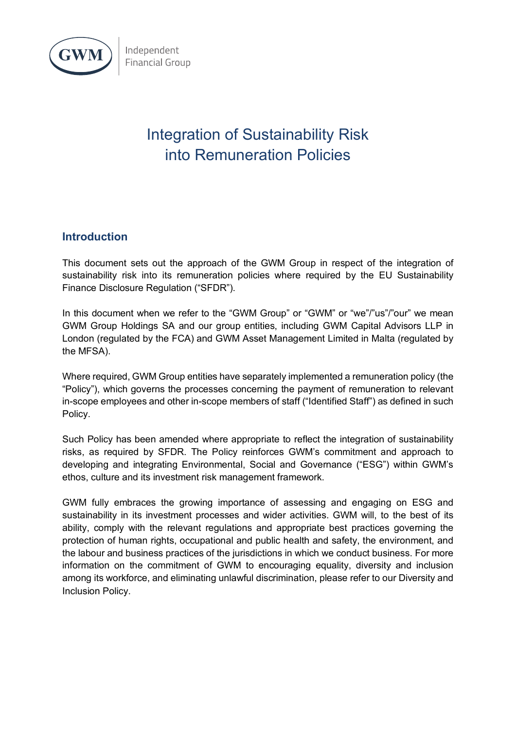

Independent **Financial Group** 

# Integration of Sustainability Risk into Remuneration Policies

## **Introduction**

This document sets out the approach of the GWM Group in respect of the integration of sustainability risk into its remuneration policies where required by the EU Sustainability Finance Disclosure Regulation ("SFDR").

In this document when we refer to the "GWM Group" or "GWM" or "we"/"us"/"our" we mean GWM Group Holdings SA and our group entities, including GWM Capital Advisors LLP in London (regulated by the FCA) and GWM Asset Management Limited in Malta (regulated by the MFSA).

Where required, GWM Group entities have separately implemented a remuneration policy (the "Policy"), which governs the processes concerning the payment of remuneration to relevant in-scope employees and other in-scope members of staff ("Identified Staff") as defined in such Policy.

Such Policy has been amended where appropriate to reflect the integration of sustainability risks, as required by SFDR. The Policy reinforces GWM's commitment and approach to developing and integrating Environmental, Social and Governance ("ESG") within GWM's ethos, culture and its investment risk management framework.

GWM fully embraces the growing importance of assessing and engaging on ESG and sustainability in its investment processes and wider activities. GWM will, to the best of its ability, comply with the relevant regulations and appropriate best practices governing the protection of human rights, occupational and public health and safety, the environment, and the labour and business practices of the jurisdictions in which we conduct business. For more information on the commitment of GWM to encouraging equality, diversity and inclusion among its workforce, and eliminating unlawful discrimination, please refer to our Diversity and Inclusion Policy.